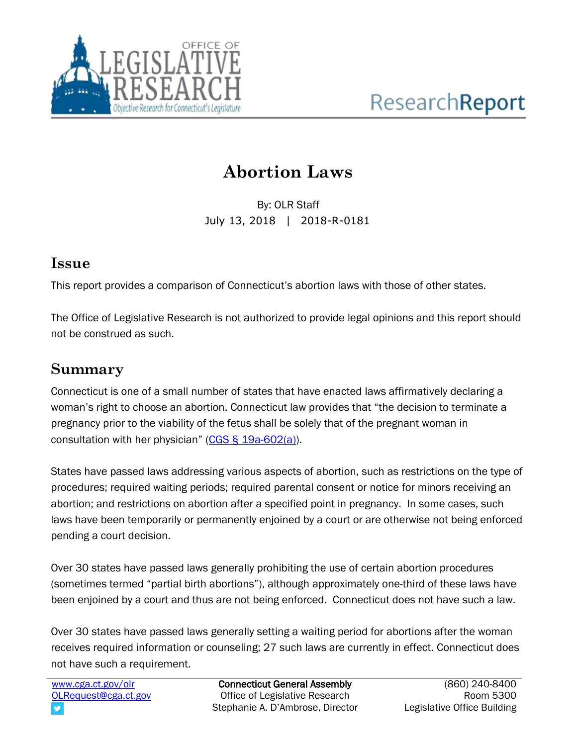

# **Abortion Laws**

By: OLR Staff July 13, 2018 | 2018-R-0181

### **Issue**

This report provides a comparison of Connecticut's abortion laws with those of other states.

The Office of Legislative Research is not authorized to provide legal opinions and this report should not be construed as such.

## **Summary**

Connecticut is one of a small number of states that have enacted laws affirmatively declaring a woman's right to choose an abortion. Connecticut law provides that "the decision to terminate a pregnancy prior to the viability of the fetus shall be solely that of the pregnant woman in consultation with her physician" ( $CGS \leq 19a-602(a)$ ).

States have passed laws addressing various aspects of abortion, such as restrictions on the type of procedures; required waiting periods; required parental consent or notice for minors receiving an abortion; and restrictions on abortion after a specified point in pregnancy. In some cases, such laws have been temporarily or permanently enjoined by a court or are otherwise not being enforced pending a court decision.

Over 30 states have passed laws generally prohibiting the use of certain abortion procedures (sometimes termed "partial birth abortions"), although approximately one-third of these laws have been enjoined by a court and thus are not being enforced. Connecticut does not have such a law.

Over 30 states have passed laws generally setting a waiting period for abortions after the woman receives required information or counseling; 27 such laws are currently in effect. Connecticut does not have such a requirement.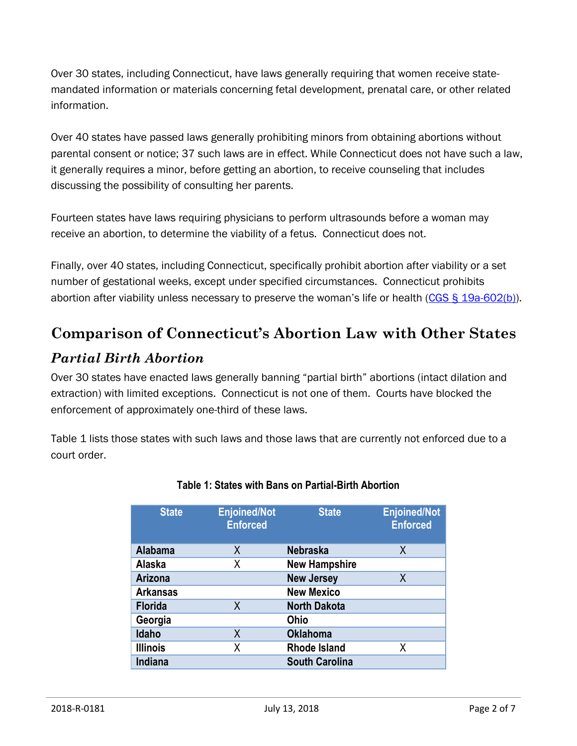Over 30 states, including Connecticut, have laws generally requiring that women receive statemandated information or materials concerning fetal development, prenatal care, or other related information.

Over 40 states have passed laws generally prohibiting minors from obtaining abortions without parental consent or notice; 37 such laws are in effect. While Connecticut does not have such a law, it generally requires a minor, before getting an abortion, to receive counseling that includes discussing the possibility of consulting her parents.

Fourteen states have laws requiring physicians to perform ultrasounds before a woman may receive an abortion, to determine the viability of a fetus. Connecticut does not.

Finally, over 40 states, including Connecticut, specifically prohibit abortion after viability or a set number of gestational weeks, except under specified circumstances. Connecticut prohibits abortion after viability unless necessary to preserve the woman's life or health ([CGS § 19a-602\(b\)\)](https://www.cga.ct.gov/current/pub/chap_368y.htm#sec_19a-602).

## **Comparison of Connecticut's Abortion Law with Other States**

### *Partial Birth Abortion*

Over 30 states have enacted laws generally banning "partial birth" abortions (intact dilation and extraction) with limited exceptions. Connecticut is not one of them. Courts have blocked the enforcement of approximately one-third of these laws.

Table 1 lists those states with such laws and those laws that are currently not enforced due to a court order.

| <b>State</b>    | <b>Enjoined/Not</b><br><b>Enforced</b> | <b>State</b>          | <b>Enjoined/Not</b><br><b>Enforced</b> |
|-----------------|----------------------------------------|-----------------------|----------------------------------------|
| <b>Alabama</b>  | X                                      | <b>Nebraska</b>       | X                                      |
| Alaska          | Χ                                      | <b>New Hampshire</b>  |                                        |
| Arizona         |                                        | <b>New Jersey</b>     | X                                      |
| <b>Arkansas</b> |                                        | <b>New Mexico</b>     |                                        |
| <b>Florida</b>  | X                                      | <b>North Dakota</b>   |                                        |
| Georgia         |                                        | <b>Ohio</b>           |                                        |
| Idaho           | Χ                                      | <b>Oklahoma</b>       |                                        |
| <b>Illinois</b> | Χ                                      | <b>Rhode Island</b>   | Χ                                      |
| Indiana         |                                        | <b>South Carolina</b> |                                        |

#### **Table 1: States with Bans on Partial-Birth Abortion**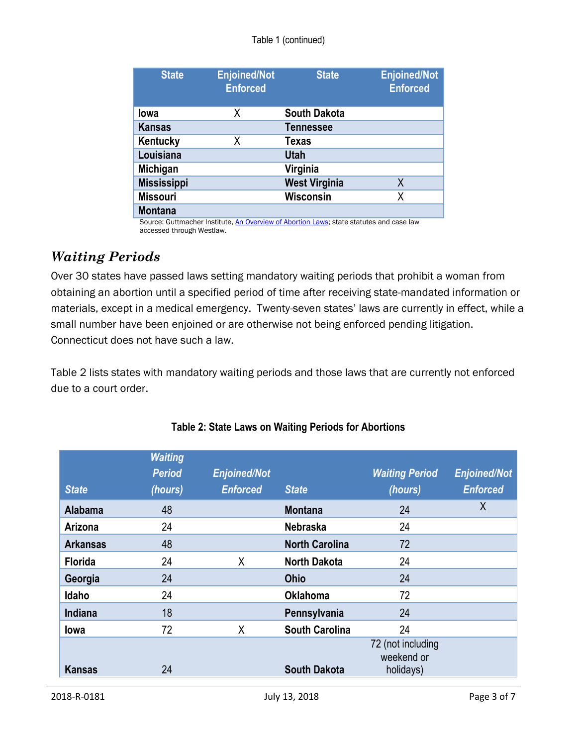#### Table 1 (continued)

| <b>State</b>       | <b>Enjoined/Not</b><br><b>Enforced</b> | <b>State</b>         | <b>Enjoined/Not</b><br><b>Enforced</b> |
|--------------------|----------------------------------------|----------------------|----------------------------------------|
| lowa               | Χ                                      | <b>South Dakota</b>  |                                        |
| <b>Kansas</b>      |                                        | <b>Tennessee</b>     |                                        |
| Kentucky           | Χ                                      | Texas                |                                        |
| Louisiana          |                                        | <b>Utah</b>          |                                        |
| Michigan           |                                        | Virginia             |                                        |
| <b>Mississippi</b> |                                        | <b>West Virginia</b> | X                                      |
| <b>Missouri</b>    |                                        | Wisconsin            | Χ                                      |
| <b>Montana</b>     |                                        |                      |                                        |

Source: Guttmacher Institute[, An Overview of Abortion Laws;](https://www.guttmacher.org/state-policy/explore/overview-abortion-laws) state statutes and case law accessed through Westlaw.

### *Waiting Periods*

Over 30 states have passed laws setting mandatory waiting periods that prohibit a woman from obtaining an abortion until a specified period of time after receiving state-mandated information or materials, except in a medical emergency. Twenty-seven states' laws are currently in effect, while a small number have been enjoined or are otherwise not being enforced pending litigation. Connecticut does not have such a law.

Table 2 lists states with mandatory waiting periods and those laws that are currently not enforced due to a court order.

|                 | <b>Waiting</b><br><b>Period</b> |                                        |                       |                                              |                                        |
|-----------------|---------------------------------|----------------------------------------|-----------------------|----------------------------------------------|----------------------------------------|
| <b>State</b>    | (hours)                         | <b>Enjoined/Not</b><br><b>Enforced</b> | <b>State</b>          | <b>Waiting Period</b><br>(hours)             | <b>Enjoined/Not</b><br><b>Enforced</b> |
| <b>Alabama</b>  | 48                              |                                        | <b>Montana</b>        | 24                                           | X                                      |
| Arizona         | 24                              |                                        | <b>Nebraska</b>       | 24                                           |                                        |
| <b>Arkansas</b> | 48                              |                                        | <b>North Carolina</b> | 72                                           |                                        |
| <b>Florida</b>  | 24                              | X                                      | <b>North Dakota</b>   | 24                                           |                                        |
| Georgia         | 24                              |                                        | <b>Ohio</b>           | 24                                           |                                        |
| Idaho           | 24                              |                                        | <b>Oklahoma</b>       | 72                                           |                                        |
| Indiana         | 18                              |                                        | Pennsylvania          | 24                                           |                                        |
| lowa            | 72                              | X                                      | <b>South Carolina</b> | 24                                           |                                        |
| <b>Kansas</b>   | 24                              |                                        | <b>South Dakota</b>   | 72 (not including<br>weekend or<br>holidays) |                                        |

#### **Table 2: State Laws on Waiting Periods for Abortions**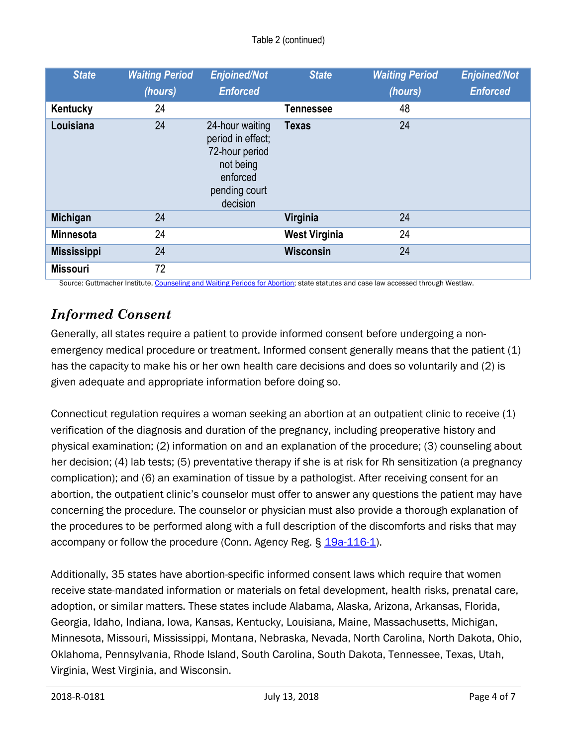| <b>State</b>       | <b>Waiting Period</b><br>(hours) | <b>Enjoined/Not</b><br><b>Enforced</b>                                                                       | <b>State</b>         | <b>Waiting Period</b><br>(hours) | <b>Enjoined/Not</b><br><b>Enforced</b> |
|--------------------|----------------------------------|--------------------------------------------------------------------------------------------------------------|----------------------|----------------------------------|----------------------------------------|
| Kentucky           | 24                               |                                                                                                              | <b>Tennessee</b>     | 48                               |                                        |
| Louisiana          | 24                               | 24-hour waiting<br>period in effect;<br>72-hour period<br>not being<br>enforced<br>pending court<br>decision | <b>Texas</b>         | 24                               |                                        |
| <b>Michigan</b>    | 24                               |                                                                                                              | Virginia             | 24                               |                                        |
| <b>Minnesota</b>   | 24                               |                                                                                                              | <b>West Virginia</b> | 24                               |                                        |
| <b>Mississippi</b> | 24                               |                                                                                                              | <b>Wisconsin</b>     | 24                               |                                        |
| <b>Missouri</b>    | 72                               |                                                                                                              |                      |                                  |                                        |

Source: Guttmacher Institute[, Counseling and Waiting Periods for Abortion;](https://www.guttmacher.org/state-policy/explore/counseling-and-waiting-periods-abortion) state statutes and case law accessed through Westlaw.

### *Informed Consent*

Generally, all states require a patient to provide informed consent before undergoing a nonemergency medical procedure or treatment. Informed consent generally means that the patient (1) has the capacity to make his or her own health care decisions and does so voluntarily and (2) is given adequate and appropriate information before doing so.

Connecticut regulation requires a woman seeking an abortion at an outpatient clinic to receive (1) verification of the diagnosis and duration of the pregnancy, including preoperative history and physical examination; (2) information on and an explanation of the procedure; (3) counseling about her decision; (4) lab tests; (5) preventative therapy if she is at risk for Rh sensitization (a pregnancy complication); and (6) an examination of tissue by a pathologist. After receiving consent for an abortion, the outpatient clinic's counselor must offer to answer any questions the patient may have concerning the procedure. The counselor or physician must also provide a thorough explanation of the procedures to be performed along with a full description of the discomforts and risks that may accompany or follow the procedure (Conn. Agency Reg. § [19a-116-1\)](https://eregulations.ct.gov/eRegsPortal/Browse/RCSA/%7B8B371C33-7ED8-4FE6-8792-823B3B0B7300%7D).

Additionally, 35 states have abortion-specific informed consent laws which require that women receive state-mandated information or materials on fetal development, health risks, prenatal care, adoption, or similar matters. These states include Alabama, Alaska, Arizona, Arkansas, Florida, Georgia, Idaho, Indiana, Iowa, Kansas, Kentucky, Louisiana, Maine, Massachusetts, Michigan, Minnesota, Missouri, Mississippi, Montana, Nebraska, Nevada, North Carolina, North Dakota, Ohio, Oklahoma, Pennsylvania, Rhode Island, South Carolina, South Dakota, Tennessee, Texas, Utah, Virginia, West Virginia, and Wisconsin.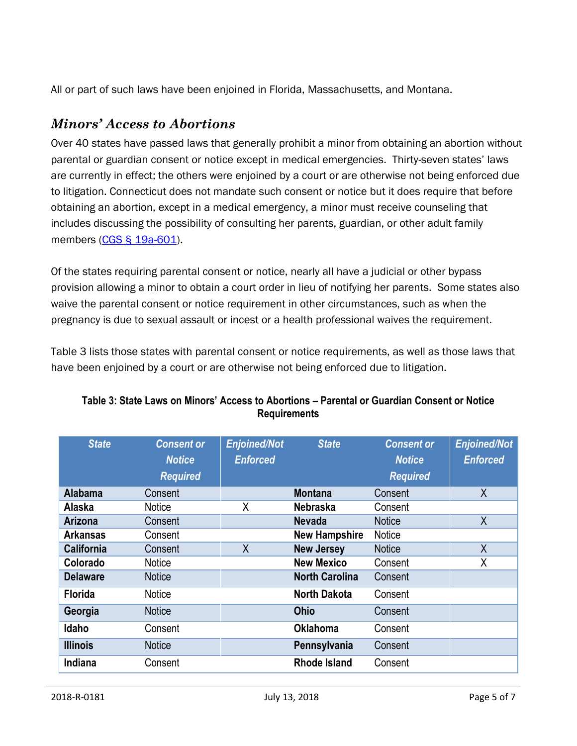All or part of such laws have been enjoined in Florida, Massachusetts, and Montana.

### *Minors' Access to Abortions*

Over 40 states have passed laws that generally prohibit a minor from obtaining an abortion without parental or guardian consent or notice except in medical emergencies. Thirty-seven states' laws are currently in effect; the others were enjoined by a court or are otherwise not being enforced due to litigation. Connecticut does not mandate such consent or notice but it does require that before obtaining an abortion, except in a medical emergency, a minor must receive counseling that includes discussing the possibility of consulting her parents, guardian, or other adult family members [\(CGS § 19a-601\)](https://www.cga.ct.gov/current/pub/chap_368y.htm#sec_19a-601).

Of the states requiring parental consent or notice, nearly all have a judicial or other bypass provision allowing a minor to obtain a court order in lieu of notifying her parents. Some states also waive the parental consent or notice requirement in other circumstances, such as when the pregnancy is due to sexual assault or incest or a health professional waives the requirement.

Table 3 lists those states with parental consent or notice requirements, as well as those laws that have been enjoined by a court or are otherwise not being enforced due to litigation.

| <b>State</b>      | <b>Consent or</b><br><b>Notice</b><br><b>Required</b> | <b>Enjoined/Not</b><br><b>Enforced</b> | <b>State</b>          | <b>Consent or</b><br><b>Notice</b><br><b>Required</b> | <b>Enjoined/Not</b><br><b>Enforced</b> |
|-------------------|-------------------------------------------------------|----------------------------------------|-----------------------|-------------------------------------------------------|----------------------------------------|
| <b>Alabama</b>    | Consent                                               |                                        | <b>Montana</b>        | Consent                                               | X                                      |
| Alaska            | Notice                                                | X                                      | <b>Nebraska</b>       | Consent                                               |                                        |
| Arizona           | Consent                                               |                                        | <b>Nevada</b>         | <b>Notice</b>                                         | X                                      |
| <b>Arkansas</b>   | Consent                                               |                                        | <b>New Hampshire</b>  | <b>Notice</b>                                         |                                        |
| <b>California</b> | Consent                                               | $\sf X$                                | <b>New Jersey</b>     | <b>Notice</b>                                         | X                                      |
| Colorado          | <b>Notice</b>                                         |                                        | <b>New Mexico</b>     | Consent                                               | X                                      |
| <b>Delaware</b>   | <b>Notice</b>                                         |                                        | <b>North Carolina</b> | Consent                                               |                                        |
| <b>Florida</b>    | Notice                                                |                                        | <b>North Dakota</b>   | Consent                                               |                                        |
| Georgia           | <b>Notice</b>                                         |                                        | <b>Ohio</b>           | Consent                                               |                                        |
| <b>Idaho</b>      | Consent                                               |                                        | <b>Oklahoma</b>       | Consent                                               |                                        |
| <b>Illinois</b>   | <b>Notice</b>                                         |                                        | Pennsylvania          | Consent                                               |                                        |
| Indiana           | Consent                                               |                                        | <b>Rhode Island</b>   | Consent                                               |                                        |

#### **Table 3: State Laws on Minors' Access to Abortions – Parental or Guardian Consent or Notice Requirements**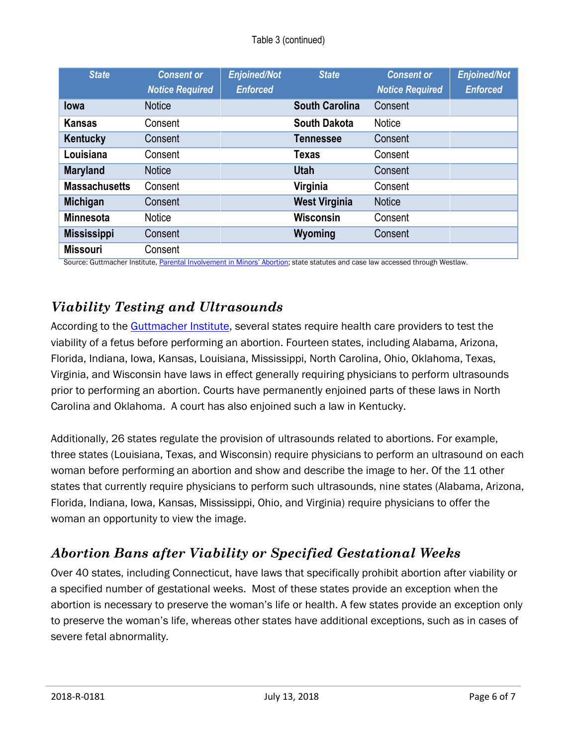| <b>State</b>         | <b>Consent or</b>      | <b>Enjoined/Not</b> | <b>State</b>          | <b>Consent or</b>      | <b>Enjoined/Not</b> |
|----------------------|------------------------|---------------------|-----------------------|------------------------|---------------------|
|                      | <b>Notice Required</b> | <b>Enforced</b>     |                       | <b>Notice Required</b> | <b>Enforced</b>     |
| <b>lowa</b>          | <b>Notice</b>          |                     | <b>South Carolina</b> | Consent                |                     |
| <b>Kansas</b>        | Consent                |                     | <b>South Dakota</b>   | <b>Notice</b>          |                     |
| Kentucky             | Consent                |                     | <b>Tennessee</b>      | Consent                |                     |
| Louisiana            | Consent                |                     | Texas                 | Consent                |                     |
| <b>Maryland</b>      | <b>Notice</b>          |                     | <b>Utah</b>           | Consent                |                     |
| <b>Massachusetts</b> | Consent                |                     | Virginia              | Consent                |                     |
| <b>Michigan</b>      | Consent                |                     | <b>West Virginia</b>  | <b>Notice</b>          |                     |
| <b>Minnesota</b>     | <b>Notice</b>          |                     | Wisconsin             | Consent                |                     |
| <b>Mississippi</b>   | Consent                |                     | Wyoming               | Consent                |                     |
| <b>Missouri</b>      | Consent                |                     |                       |                        |                     |

Source: Guttmacher Institute, [Parental Involvement in Minors' Abortion](https://www.guttmacher.org/state-policy/explore/parental-involvement-minors-abortions); state statutes and case law accessed through Westlaw.

### *Viability Testing and Ultrasounds*

According to the [Guttmacher Institute,](https://www.guttmacher.org/state-policy/explore/requirements-ultrasound) several states require health care providers to test the viability of a fetus before performing an abortion. Fourteen states, including Alabama, Arizona, Florida, Indiana, Iowa, Kansas, Louisiana, Mississippi, North Carolina, Ohio, Oklahoma, Texas, Virginia, and Wisconsin have laws in effect generally requiring physicians to perform ultrasounds prior to performing an abortion. Courts have permanently enjoined parts of these laws in North Carolina and Oklahoma. A court has also enjoined such a law in Kentucky.

Additionally, 26 states regulate the provision of ultrasounds related to abortions. For example, three states (Louisiana, Texas, and Wisconsin) require physicians to perform an ultrasound on each woman before performing an abortion and show and describe the image to her. Of the 11 other states that currently require physicians to perform such ultrasounds, nine states (Alabama, Arizona, Florida, Indiana, Iowa, Kansas, Mississippi, Ohio, and Virginia) require physicians to offer the woman an opportunity to view the image.

## *Abortion Bans after Viability or Specified Gestational Weeks*

Over 40 states, including Connecticut, have laws that specifically prohibit abortion after viability or a specified number of gestational weeks. Most of these states provide an exception when the abortion is necessary to preserve the woman's life or health. A few states provide an exception only to preserve the woman's life, whereas other states have additional exceptions, such as in cases of severe fetal abnormality.